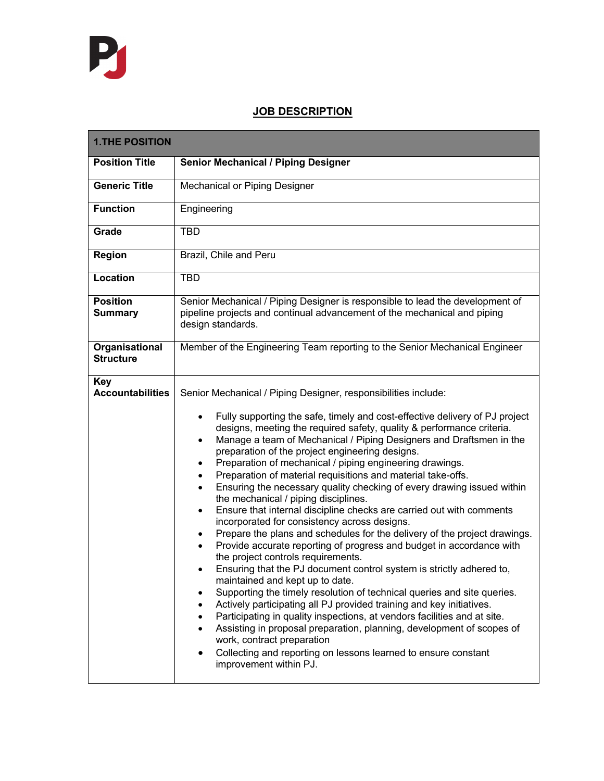## **JOB DESCRIPTION**

| <b>1.THE POSITION</b>                 |                                                                                                                                                                                                                                                                                                                                                                                                                                                                                                                                                                                                                                                                                                                                                                                                                                                                                                                                                                                                                                                                                                                                                                                                                                                                                                                                                                                                                                                                                                                   |  |
|---------------------------------------|-------------------------------------------------------------------------------------------------------------------------------------------------------------------------------------------------------------------------------------------------------------------------------------------------------------------------------------------------------------------------------------------------------------------------------------------------------------------------------------------------------------------------------------------------------------------------------------------------------------------------------------------------------------------------------------------------------------------------------------------------------------------------------------------------------------------------------------------------------------------------------------------------------------------------------------------------------------------------------------------------------------------------------------------------------------------------------------------------------------------------------------------------------------------------------------------------------------------------------------------------------------------------------------------------------------------------------------------------------------------------------------------------------------------------------------------------------------------------------------------------------------------|--|
| <b>Position Title</b>                 | <b>Senior Mechanical / Piping Designer</b>                                                                                                                                                                                                                                                                                                                                                                                                                                                                                                                                                                                                                                                                                                                                                                                                                                                                                                                                                                                                                                                                                                                                                                                                                                                                                                                                                                                                                                                                        |  |
| <b>Generic Title</b>                  | Mechanical or Piping Designer                                                                                                                                                                                                                                                                                                                                                                                                                                                                                                                                                                                                                                                                                                                                                                                                                                                                                                                                                                                                                                                                                                                                                                                                                                                                                                                                                                                                                                                                                     |  |
| <b>Function</b>                       | Engineering                                                                                                                                                                                                                                                                                                                                                                                                                                                                                                                                                                                                                                                                                                                                                                                                                                                                                                                                                                                                                                                                                                                                                                                                                                                                                                                                                                                                                                                                                                       |  |
| Grade                                 | <b>TBD</b>                                                                                                                                                                                                                                                                                                                                                                                                                                                                                                                                                                                                                                                                                                                                                                                                                                                                                                                                                                                                                                                                                                                                                                                                                                                                                                                                                                                                                                                                                                        |  |
| <b>Region</b>                         | Brazil, Chile and Peru                                                                                                                                                                                                                                                                                                                                                                                                                                                                                                                                                                                                                                                                                                                                                                                                                                                                                                                                                                                                                                                                                                                                                                                                                                                                                                                                                                                                                                                                                            |  |
| Location                              | <b>TBD</b>                                                                                                                                                                                                                                                                                                                                                                                                                                                                                                                                                                                                                                                                                                                                                                                                                                                                                                                                                                                                                                                                                                                                                                                                                                                                                                                                                                                                                                                                                                        |  |
| <b>Position</b><br><b>Summary</b>     | Senior Mechanical / Piping Designer is responsible to lead the development of<br>pipeline projects and continual advancement of the mechanical and piping<br>design standards.                                                                                                                                                                                                                                                                                                                                                                                                                                                                                                                                                                                                                                                                                                                                                                                                                                                                                                                                                                                                                                                                                                                                                                                                                                                                                                                                    |  |
| Organisational<br><b>Structure</b>    | Member of the Engineering Team reporting to the Senior Mechanical Engineer                                                                                                                                                                                                                                                                                                                                                                                                                                                                                                                                                                                                                                                                                                                                                                                                                                                                                                                                                                                                                                                                                                                                                                                                                                                                                                                                                                                                                                        |  |
| <b>Key</b><br><b>Accountabilities</b> | Senior Mechanical / Piping Designer, responsibilities include:<br>Fully supporting the safe, timely and cost-effective delivery of PJ project<br>٠<br>designs, meeting the required safety, quality & performance criteria.<br>Manage a team of Mechanical / Piping Designers and Draftsmen in the<br>٠<br>preparation of the project engineering designs.<br>Preparation of mechanical / piping engineering drawings.<br>٠<br>Preparation of material requisitions and material take-offs.<br>٠<br>Ensuring the necessary quality checking of every drawing issued within<br>٠<br>the mechanical / piping disciplines.<br>Ensure that internal discipline checks are carried out with comments<br>$\bullet$<br>incorporated for consistency across designs.<br>Prepare the plans and schedules for the delivery of the project drawings.<br>Provide accurate reporting of progress and budget in accordance with<br>$\bullet$<br>the project controls requirements.<br>Ensuring that the PJ document control system is strictly adhered to,<br>maintained and kept up to date.<br>Supporting the timely resolution of technical queries and site queries.<br>Actively participating all PJ provided training and key initiatives.<br>Participating in quality inspections, at vendors facilities and at site.<br>Assisting in proposal preparation, planning, development of scopes of<br>work, contract preparation<br>Collecting and reporting on lessons learned to ensure constant<br>improvement within PJ. |  |